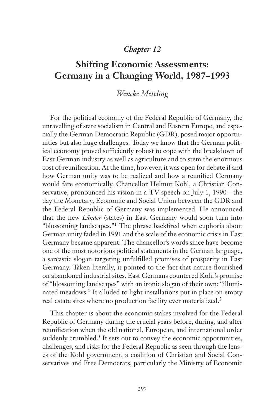## *Chapter 12*

# **Shifting Economic Assessments: Germany in a Changing World, 1987–1993**

## *Wencke Meteling*

For the political economy of the Federal Republic of Germany, the unravelling of state socialism in Central and Eastern Europe, and especially the German Democratic Republic (GDR), posed major opportunities but also huge challenges. Today we know that the German political economy proved sufficiently robust to cope with the breakdown of East German industry as well as agriculture and to stem the enormous cost of reunification. At the time, however, it was open for debate if and how German unity was to be realized and how a reunified Germany would fare economically. Chancellor Helmut Kohl, a Christian Conservative, pronounced his vision in a TV speech on July 1, 1990—the day the Monetary, Economic and Social Union between the GDR and the Federal Republic of Germany was implemented. He announced that the new *Länder* (states) in East Germany would soon turn into "blossoming landscapes."1 The phrase backfired when euphoria about German unity faded in 1991 and the scale of the economic crisis in East Germany became apparent. The chancellor's words since have become one of the most notorious political statements in the German language, a sarcastic slogan targeting unfulfilled promises of prosperity in East Germany. Taken literally, it pointed to the fact that nature flourished on abandoned industrial sites. East Germans countered Kohl's promise of "blossoming landscapes" with an ironic slogan of their own: "illuminated meadows." It alluded to light installations put in place on empty real estate sites where no production facility ever materialized.2

This chapter is about the economic stakes involved for the Federal Republic of Germany during the crucial years before, during, and after reunification when the old national, European, and international order suddenly crumbled.<sup>3</sup> It sets out to convey the economic opportunities, challenges, and risks for the Federal Republic as seen through the lenses of the Kohl government, a coalition of Christian and Social Conservatives and Free Democrats, particularly the Ministry of Economic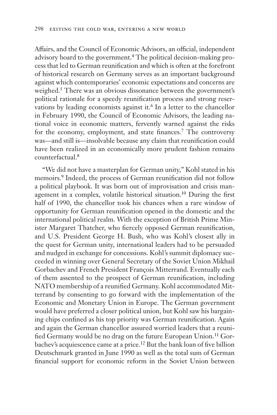Affairs, and the Council of Economic Advisors, an official, independent advisory board to the government.4 The political decision-making process that led to German reunification and which is often at the forefront of historical research on Germany serves as an important background against which contemporaries' economic expectations and concerns are weighed.<sup>5</sup> There was an obvious dissonance between the government's political rationale for a speedy reunification process and strong reservations by leading economists against it.<sup>6</sup> In a letter to the chancellor in February 1990, the Council of Economic Advisors, the leading national voice in economic matters, fervently warned against the risks for the economy, employment, and state finances.<sup>7</sup> The controversy was—and still is—insolvable because any claim that reunification could have been realized in an economically more prudent fashion remains counterfactual.8

"We did not have a masterplan for German unity," Kohl stated in his memoirs.9 Indeed, the process of German reunification did not follow a political playbook. It was born out of improvisation and crisis management in a complex, volatile historical situation.10 During the first half of 1990, the chancellor took his chances when a rare window of opportunity for German reunification opened in the domestic and the international political realm. With the exception of British Prime Minister Margaret Thatcher, who fiercely opposed German reunification, and U.S. President George H. Bush, who was Kohl's closest ally in the quest for German unity, international leaders had to be persuaded and nudged in exchange for concessions. Kohl's summit diplomacy succeeded in winning over General Secretary of the Soviet Union Mikhail Gorbachev and French President François Mitterrand. Eventually each of them assented to the prospect of German reunification, including NATO membership of a reunified Germany. Kohl accommodated Mitterrand by consenting to go forward with the implementation of the Economic and Monetary Union in Europe. The German government would have preferred a closer political union, but Kohl saw his bargaining chips confined as his top priority was German reunification. Again and again the German chancellor assured worried leaders that a reunified Germany would be no drag on the future European Union.<sup>11</sup> Gorbachev's acquiescence came at a price.<sup>12</sup> But the bank loan of five billion Deutschmark granted in June 1990 as well as the total sum of German financial support for economic reform in the Soviet Union between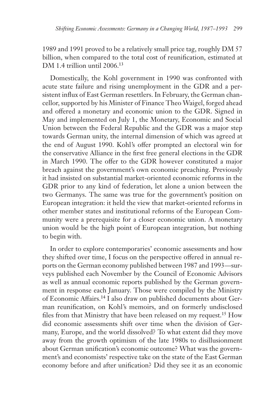1989 and 1991 proved to be a relatively small price tag, roughly DM 57 billion, when compared to the total cost of reunification, estimated at DM 1.4 trillion until 2006.<sup>13</sup>

Domestically, the Kohl government in 1990 was confronted with acute state failure and rising unemployment in the GDR and a persistent influx of East German resettlers. In February, the German chancellor, supported by his Minister of Finance Theo Waigel, forged ahead and offered a monetary and economic union to the GDR. Signed in May and implemented on July 1, the Monetary, Economic and Social Union between the Federal Republic and the GDR was a major step towards German unity, the internal dimension of which was agreed at the end of August 1990. Kohl's offer prompted an electoral win for the conservative Alliance in the first free general elections in the GDR in March 1990. The offer to the GDR however constituted a major breach against the government's own economic preaching. Previously it had insisted on substantial market-oriented economic reforms in the GDR prior to any kind of federation, let alone a union between the two Germanys. The same was true for the government's position on European integration: it held the view that market-oriented reforms in other member states and institutional reforms of the European Community were a prerequisite for a closer economic union. A monetary union would be the high point of European integration, but nothing to begin with.

In order to explore contemporaries' economic assessments and how they shifted over time, I focus on the perspective offered in annual reports on the German economy published between 1987 and 1993—surveys published each November by the Council of Economic Advisors as well as annual economic reports published by the German government in response each January. Those were compiled by the Ministry of Economic Affairs.14 I also draw on published documents about German reunification, on Kohl's memoirs, and on formerly undisclosed files from that Ministry that have been released on my request.<sup>15</sup> How did economic assessments shift over time when the division of Germany, Europe, and the world dissolved? To what extent did they move away from the growth optimism of the late 1980s to disillusionment about German unification's economic outcome? What was the government's and economists' respective take on the state of the East German economy before and after unification? Did they see it as an economic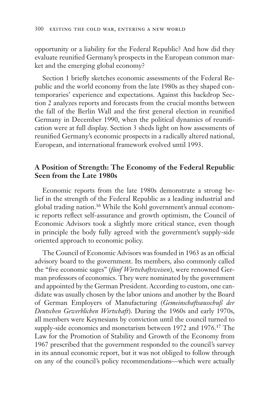opportunity or a liability for the Federal Republic? And how did they evaluate reunified Germany's prospects in the European common market and the emerging global economy?

Section 1 briefly sketches economic assessments of the Federal Republic and the world economy from the late 1980s as they shaped contemporaries' experience and expectations. Against this backdrop Section 2 analyzes reports and forecasts from the crucial months between the fall of the Berlin Wall and the first general election in reunified Germany in December 1990, when the political dynamics of reunification were at full display. Section 3 sheds light on how assessments of reunified Germany's economic prospects in a radically altered national, European, and international framework evolved until 1993.

## **A Position of Strength: The Economy of the Federal Republic Seen from the Late 1980s**

Economic reports from the late 1980s demonstrate a strong belief in the strength of the Federal Republic as a leading industrial and global trading nation.16 While the Kohl government's annual economic reports reflect self-assurance and growth optimism, the Council of Economic Advisors took a slightly more critical stance, even though in principle the body fully agreed with the government's supply-side oriented approach to economic policy.

The Council of Economic Advisors was founded in 1963 as an official advisory board to the government. Its members, also commonly called the "five economic sages" (*fünf Wirtschaftsweisen*), were renowned German professors of economics. They were nominated by the government and appointed by the German President. According to custom, one candidate was usually chosen by the labor unions and another by the Board of German Employers of Manufacturing (*Gemeinschaftsausschuß der Deutschen Gewerblichen Wirtschaft*). During the 1960s and early 1970s, all members were Keynesians by conviction until the council turned to supply-side economics and monetarism between 1972 and 1976.<sup>17</sup> The Law for the Promotion of Stability and Growth of the Economy from 1967 prescribed that the government responded to the council's survey in its annual economic report, but it was not obliged to follow through on any of the council's policy recommendations—which were actually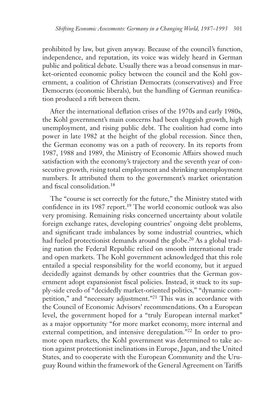prohibited by law, but given anyway. Because of the council's function, independence, and reputation, its voice was widely heard in German public and political debate. Usually there was a broad consensus in market-oriented economic policy between the council and the Kohl government, a coalition of Christian Democrats (conservatives) and Free Democrats (economic liberals), but the handling of German reunification produced a rift between them.

After the international deflation crises of the 1970s and early 1980s, the Kohl government's main concerns had been sluggish growth, high unemployment, and rising public debt. The coalition had come into power in late 1982 at the height of the global recession. Since then, the German economy was on a path of recovery. In its reports from 1987, 1988 and 1989, the Ministry of Economic Affairs showed much satisfaction with the economy's trajectory and the seventh year of consecutive growth, rising total employment and shrinking unemployment numbers. It attributed them to the government's market orientation and fiscal consolidation.18

The "course is set correctly for the future," the Ministry stated with confidence in its 1987 report.<sup>19</sup> The world economic outlook was also very promising. Remaining risks concerned uncertainty about volatile foreign exchange rates, developing countries' ongoing debt problems, and significant trade imbalances by some industrial countries, which had fueled protectionist demands around the globe.<sup>20</sup> As a global trading nation the Federal Republic relied on smooth international trade and open markets. The Kohl government acknowledged that this role entailed a special responsibility for the world economy, but it argued decidedly against demands by other countries that the German government adopt expansionist fiscal policies. Instead, it stuck to its supply-side credo of "decidedly market-oriented politics," "dynamic competition," and "necessary adjustment."21 This was in accordance with the Council of Economic Advisors' recommendations. On a European level, the government hoped for a "truly European internal market" as a major opportunity "for more market economy, more internal and external competition, and intensive deregulation."<sup>22</sup> In order to promote open markets, the Kohl government was determined to take action against protectionist inclinations in Europe, Japan, and the United States, and to cooperate with the European Community and the Uruguay Round within the framework of the General Agreement on Tariffs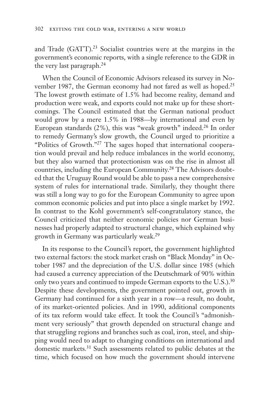and Trade (GATT).<sup>23</sup> Socialist countries were at the margins in the government's economic reports, with a single reference to the GDR in the very last paragraph.24

When the Council of Economic Advisors released its survey in November 1987, the German economy had not fared as well as hoped.<sup>25</sup> The lowest growth estimate of 1.5% had become reality, demand and production were weak, and exports could not make up for these shortcomings. The Council estimated that the German national product would grow by a mere 1.5% in 1988—by international and even by European standards (2%), this was "weak growth" indeed.26 In order to remedy Germany's slow growth, the Council urged to prioritize a "Politics of Growth."27 The sages hoped that international cooperation would prevail and help reduce imbalances in the world economy, but they also warned that protectionism was on the rise in almost all countries, including the European Community.28 The Advisors doubted that the Uruguay Round would be able to pass a new comprehensive system of rules for international trade. Similarly, they thought there was still a long way to go for the European Community to agree upon common economic policies and put into place a single market by 1992. In contrast to the Kohl government's self-congratulatory stance, the Council criticized that neither economic policies nor German businesses had properly adapted to structural change, which explained why growth in Germany was particularly weak.29

In its response to the Council's report, the government highlighted two external factors: the stock market crash on "Black Monday" in October 1987 and the depreciation of the U.S. dollar since 1985 (which had caused a currency appreciation of the Deutschmark of 90% within only two years and continued to impede German exports to the U.S.).<sup>30</sup> Despite these developments, the government pointed out, growth in Germany had continued for a sixth year in a row—a result, no doubt, of its market-oriented policies. And in 1990, additional components of its tax reform would take effect. It took the Council's "admonishment very seriously" that growth depended on structural change and that struggling regions and branches such as coal, iron, steel, and shipping would need to adapt to changing conditions on international and domestic markets.31 Such assessments related to public debates at the time, which focused on how much the government should intervene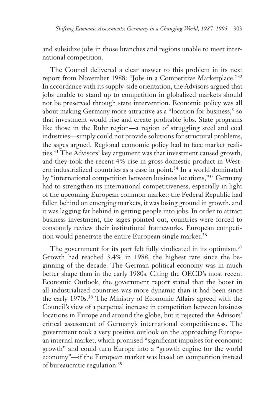and subsidize jobs in those branches and regions unable to meet international competition.

The Council delivered a clear answer to this problem in its next report from November 1988: "Jobs in a Competitive Marketplace."32 In accordance with its supply-side orientation, the Advisors argued that jobs unable to stand up to competition in globalized markets should not be preserved through state intervention. Economic policy was all about making Germany more attractive as a "location for business," so that investment would rise and create profitable jobs. State programs like those in the Ruhr region—a region of struggling steel and coal industries—simply could not provide solutions for structural problems, the sages argued. Regional economic policy had to face market realities.33 The Advisors' key argument was that investment caused growth, and they took the recent 4% rise in gross domestic product in Western industrialized countries as a case in point.<sup>34</sup> In a world dominated by "international competition between business locations,"35 Germany had to strengthen its international competitiveness, especially in light of the upcoming European common market: the Federal Republic had fallen behind on emerging markets, it was losing ground in growth, and it was lagging far behind in getting people into jobs. In order to attract business investment, the sages pointed out, countries were forced to constantly review their institutional frameworks. European competition would penetrate the entire European single market.<sup>36</sup>

The government for its part felt fully vindicated in its optimism.<sup>37</sup> Growth had reached 3.4% in 1988, the highest rate since the beginning of the decade. The German political economy was in much better shape than in the early 1980s. Citing the OECD's most recent Economic Outlook, the government report stated that the boost in all industrialized countries was more dynamic than it had been since the early 1970s.<sup>38</sup> The Ministry of Economic Affairs agreed with the Council's view of a perpetual increase in competition between business locations in Europe and around the globe, but it rejected the Advisors' critical assessment of Germany's international competitiveness. The government took a very positive outlook on the approaching European internal market, which promised "significant impulses for economic growth" and could turn Europe into a "growth engine for the world economy"—if the European market was based on competition instead of bureaucratic regulation.39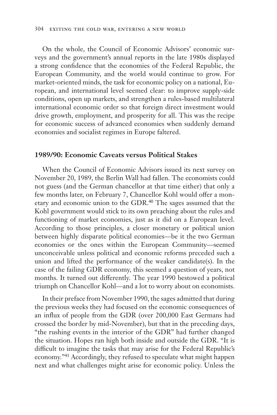On the whole, the Council of Economic Advisors' economic surveys and the government's annual reports in the late 1980s displayed a strong confidence that the economies of the Federal Republic, the European Community, and the world would continue to grow. For market-oriented minds, the task for economic policy on a national, European, and international level seemed clear: to improve supply-side conditions, open up markets, and strengthen a rules-based multilateral international economic order so that foreign direct investment would drive growth, employment, and prosperity for all. This was the recipe for economic success of advanced economies when suddenly demand economies and socialist regimes in Europe faltered.

#### **1989/90: Economic Caveats versus Political Stakes**

When the Council of Economic Advisors issued its next survey on November 20, 1989, the Berlin Wall had fallen. The economists could not guess (and the German chancellor at that time either) that only a few months later, on February 7, Chancellor Kohl would offer a monetary and economic union to the GDR.<sup>40</sup> The sages assumed that the Kohl government would stick to its own preaching about the rules and functioning of market economies, just as it did on a European level. According to those principles, a closer monetary or political union between highly disparate political economies—be it the two German economies or the ones within the European Community—seemed unconceivable unless political and economic reforms preceded such a union and lifted the performance of the weaker candidate(s). In the case of the failing GDR economy, this seemed a question of years, not months. It turned out differently. The year 1990 bestowed a political triumph on Chancellor Kohl—and a lot to worry about on economists.

In their preface from November 1990, the sages admitted that during the previous weeks they had focused on the economic consequences of an influx of people from the GDR (over 200,000 East Germans had crossed the border by mid-November), but that in the preceding days, "the rushing events in the interior of the GDR" had further changed the situation. Hopes ran high both inside and outside the GDR. "It is difficult to imagine the tasks that may arise for the Federal Republic's economy."41 Accordingly, they refused to speculate what might happen next and what challenges might arise for economic policy. Unless the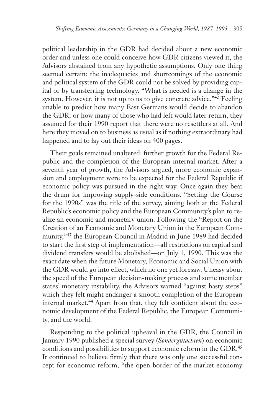political leadership in the GDR had decided about a new economic order and unless one could conceive how GDR citizens viewed it, the Advisors abstained from any hypothetic assumptions. Only one thing seemed certain: the inadequacies and shortcomings of the economic and political system of the GDR could not be solved by providing capital or by transferring technology. "What is needed is a change in the system. However, it is not up to us to give concrete advice."42 Feeling unable to predict how many East Germans would decide to abandon the GDR, or how many of those who had left would later return, they assumed for their 1990 report that there were no resettlers at all. And here they moved on to business as usual as if nothing extraordinary had happened and to lay out their ideas on 400 pages.

Their goals remained unaltered: further growth for the Federal Republic and the completion of the European internal market. After a seventh year of growth, the Advisors argued, more economic expansion and employment were to be expected for the Federal Republic if economic policy was pursued in the right way. Once again they beat the drum for improving supply-side conditions. "Setting the Course for the 1990s" was the title of the survey, aiming both at the Federal Republic's economic policy and the European Community's plan to realize an economic and monetary union. Following the "Report on the Creation of an Economic and Monetary Union in the European Community,"43 the European Council in Madrid in June 1989 had decided to start the first step of implementation—all restrictions on capital and dividend transfers would be abolished—on July 1, 1990. This was the exact date when the future Monetary, Economic and Social Union with the GDR would go into effect, which no one yet foresaw. Uneasy about the speed of the European decision-making process and some member states' monetary instability, the Advisors warned "against hasty steps" which they felt might endanger a smooth completion of the European internal market.<sup>44</sup> Apart from that, they felt confident about the economic development of the Federal Republic, the European Community, and the world.

Responding to the political upheaval in the GDR, the Council in January 1990 published a special survey (*Sondergutachten*) on economic conditions and possibilities to support economic reform in the GDR.<sup>45</sup> It continued to believe firmly that there was only one successful concept for economic reform, "the open border of the market economy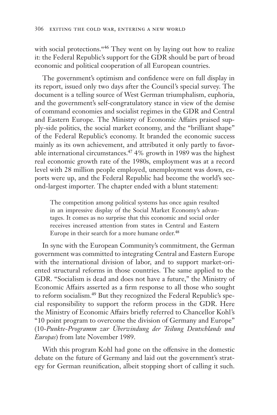with social protections."<sup>46</sup> They went on by laying out how to realize it: the Federal Republic's support for the GDR should be part of broad economic and political cooperation of all European countries.

The government's optimism and confidence were on full display in its report, issued only two days after the Council's special survey. The document is a telling source of West German triumphalism, euphoria, and the government's self-congratulatory stance in view of the demise of command economies and socialist regimes in the GDR and Central and Eastern Europe. The Ministry of Economic Affairs praised supply-side politics, the social market economy, and the "brilliant shape" of the Federal Republic's economy. It branded the economic success mainly as its own achievement, and attributed it only partly to favorable international circumstances.47 4% growth in 1989 was the highest real economic growth rate of the 1980s, employment was at a record level with 28 million people employed, unemployment was down, exports were up, and the Federal Republic had become the world's second-largest importer. The chapter ended with a blunt statement:

The competition among political systems has once again resulted in an impressive display of the Social Market Economy's advantages. It comes as no surprise that this economic and social order receives increased attention from states in Central and Eastern Europe in their search for a more humane order.<sup>48</sup>

In sync with the European Community's commitment, the German government was committed to integrating Central and Eastern Europe with the international division of labor, and to support market-oriented structural reforms in those countries. The same applied to the GDR. "Socialism is dead and does not have a future," the Ministry of Economic Affairs asserted as a firm response to all those who sought to reform socialism.49 But they recognized the Federal Republic's special responsibility to support the reform process in the GDR. Here the Ministry of Economic Affairs briefly referred to Chancellor Kohl's "10 point program to overcome the division of Germany and Europe" (10-*Punkte-Programm zur Überwindung der Teilung Deutschlands und Europas*) from late November 1989.

With this program Kohl had gone on the offensive in the domestic debate on the future of Germany and laid out the government's strategy for German reunification, albeit stopping short of calling it such.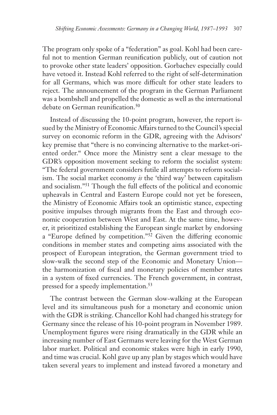The program only spoke of a "federation" as goal. Kohl had been careful not to mention German reunification publicly, out of caution not to provoke other state leaders' opposition. Gorbachev especially could have vetoed it. Instead Kohl referred to the right of self-determination for all Germans, which was more difficult for other state leaders to reject. The announcement of the program in the German Parliament was a bombshell and propelled the domestic as well as the international debate on German reunification.<sup>50</sup>

Instead of discussing the 10-point program, however, the report issued by the Ministry of Economic Affairs turned to the Council's special survey on economic reform in the GDR, agreeing with the Advisors' key premise that "there is no convincing alternative to the market-oriented order." Once more the Ministry sent a clear message to the GDR's opposition movement seeking to reform the socialist system: "The federal government considers futile all attempts to reform socialism. The social market economy *is* the 'third way' between capitalism and socialism."51 Though the full effects of the political and economic upheavals in Central and Eastern Europe could not yet be foreseen, the Ministry of Economic Affairs took an optimistic stance, expecting positive impulses through migrants from the East and through economic cooperation between West and East. At the same time, however, it prioritized establishing the European single market by endorsing a "Europe defined by competition."52 Given the differing economic conditions in member states and competing aims associated with the prospect of European integration, the German government tried to slow-walk the second step of the Economic and Monetary Union the harmonization of fiscal and monetary policies of member states in a system of fixed currencies. The French government, in contrast, pressed for a speedy implementation.<sup>53</sup>

The contrast between the German slow-walking at the European level and its simultaneous push for a monetary and economic union with the GDR is striking. Chancellor Kohl had changed his strategy for Germany since the release of his 10-point program in November 1989. Unemployment figures were rising dramatically in the GDR while an increasing number of East Germans were leaving for the West German labor market. Political and economic stakes were high in early 1990, and time was crucial. Kohl gave up any plan by stages which would have taken several years to implement and instead favored a monetary and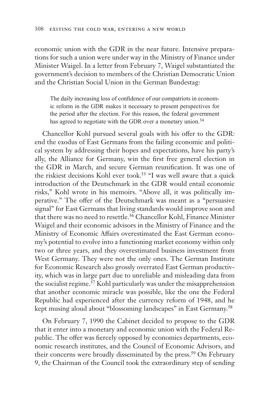economic union with the GDR in the near future. Intensive preparations for such a union were under way in the Ministry of Finance under Minister Waigel. In a letter from February 7, Waigel substantiated the government's decision to members of the Christian Democratic Union and the Christian Social Union in the German Bundestag:

The daily increasing loss of confidence of our compatriots in economic reform in the GDR makes it necessary to present perspectives for the period after the election. For this reason, the federal government has agreed to negotiate with the GDR over a monetary union.<sup>54</sup>

Chancellor Kohl pursued several goals with his offer to the GDR: end the exodus of East Germans from the failing economic and political system by addressing their hopes and expectations, have his party's ally, the Alliance for Germany, win the first free general election in the GDR in March, and secure German reunification. It was one of the riskiest decisions Kohl ever took.<sup>55</sup> "I was well aware that a quick introduction of the Deutschmark in the GDR would entail economic risks," Kohl wrote in his memoirs. "Above all, it was politically imperative." The offer of the Deutschmark was meant as a "persuasive signal" for East Germans that living standards would improve soon and that there was no need to resettle.<sup>56</sup> Chancellor Kohl, Finance Minister Waigel and their economic advisors in the Ministry of Finance and the Ministry of Economic Affairs overestimated the East German economy's potential to evolve into a functioning market economy within only two or three years, and they overestimated business investment from West Germany. They were not the only ones. The German Institute for Economic Research also grossly overrated East German productivity, which was in large part due to unreliable and misleading data from the socialist regime.57 Kohl particularly was under the misapprehension that another economic miracle was possible, like the one the Federal Republic had experienced after the currency reform of 1948, and he kept musing aloud about "blossoming landscapes" in East Germany.<sup>58</sup>

On February 7, 1990 the Cabinet decided to propose to the GDR that it enter into a monetary and economic union with the Federal Republic. The offer was fiercely opposed by economics departments, economic research institutes, and the Council of Economic Advisors, and their concerns were broadly disseminated by the press.<sup>59</sup> On February 9, the Chairman of the Council took the extraordinary step of sending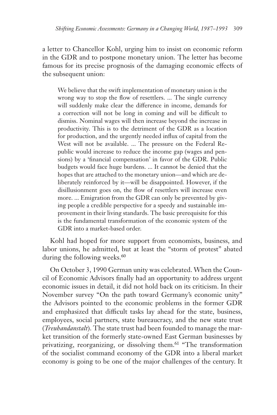a letter to Chancellor Kohl, urging him to insist on economic reform in the GDR and to postpone monetary union. The letter has become famous for its precise prognosis of the damaging economic effects of the subsequent union:

We believe that the swift implementation of monetary union is the wrong way to stop the flow of resettlers. ... The single currency will suddenly make clear the difference in income, demands for a correction will not be long in coming and will be difficult to dismiss. Nominal wages will then increase beyond the increase in productivity. This is to the detriment of the GDR as a location for production, and the urgently needed influx of capital from the West will not be available. ... The pressure on the Federal Republic would increase to reduce the income gap (wages and pensions) by a 'financial compensation' in favor of the GDR. Public budgets would face huge burdens. ... It cannot be denied that the hopes that are attached to the monetary union—and which are deliberately reinforced by it—will be disappointed. However, if the disillusionment goes on, the flow of resettlers will increase even more. ... Emigration from the GDR can only be prevented by giving people a credible perspective for a speedy and sustainable improvement in their living standards. The basic prerequisite for this is the fundamental transformation of the economic system of the GDR into a market-based order.

Kohl had hoped for more support from economists, business, and labor unions, he admitted, but at least the "storm of protest" abated during the following weeks.<sup>60</sup>

On October 3, 1990 German unity was celebrated. When the Council of Economic Advisors finally had an opportunity to address urgent economic issues in detail, it did not hold back on its criticism. In their November survey "On the path toward Germany's economic unity" the Advisors pointed to the economic problems in the former GDR and emphasized that difficult tasks lay ahead for the state, business, employees, social partners, state bureaucracy, and the new state trust (*Treuhandanstalt*). The state trust had been founded to manage the market transition of the formerly state-owned East German businesses by privatizing, reorganizing, or dissolving them.61 "The transformation of the socialist command economy of the GDR into a liberal market economy is going to be one of the major challenges of the century. It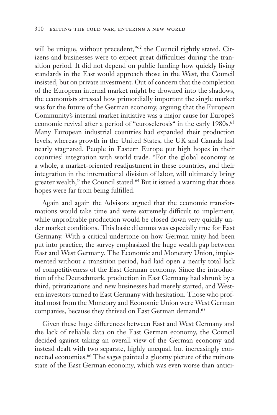will be unique, without precedent,"<sup>62</sup> the Council rightly stated. Citizens and businesses were to expect great difficulties during the transition period. It did not depend on public funding how quickly living standards in the East would approach those in the West, the Council insisted, but on private investment. Out of concern that the completion of the European internal market might be drowned into the shadows, the economists stressed how primordially important the single market was for the future of the German economy, arguing that the European Community's internal market initiative was a major cause for Europe's economic revival after a period of "eurosclerosis" in the early 1980s.<sup>63</sup> Many European industrial countries had expanded their production levels, whereas growth in the United States, the UK and Canada had nearly stagnated. People in Eastern Europe put high hopes in their countries' integration with world trade. "For the global economy as a whole, a market-oriented readjustment in these countries, and their integration in the international division of labor, will ultimately bring greater wealth," the Council stated.<sup>64</sup> But it issued a warning that those hopes were far from being fulfilled.

Again and again the Advisors argued that the economic transformations would take time and were extremely difficult to implement, while unprofitable production would be closed down very quickly under market conditions. This basic dilemma was especially true for East Germany. With a critical undertone on how German unity had been put into practice, the survey emphasized the huge wealth gap between East and West Germany. The Economic and Monetary Union, implemented without a transition period, had laid open a nearly total lack of competitiveness of the East German economy. Since the introduction of the Deutschmark, production in East Germany had shrunk by a third, privatizations and new businesses had merely started, and Western investors turned to East Germany with hesitation. Those who profited most from the Monetary and Economic Union were West German companies, because they thrived on East German demand.<sup>65</sup>

Given these huge differences between East and West Germany and the lack of reliable data on the East German economy, the Council decided against taking an overall view of the German economy and instead dealt with two separate, highly unequal, but increasingly connected economies.66 The sages painted a gloomy picture of the ruinous state of the East German economy, which was even worse than antici-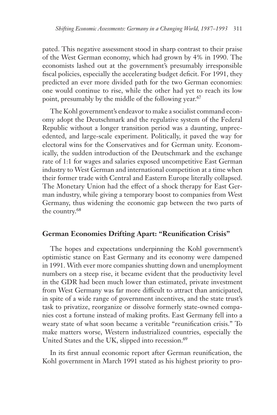pated. This negative assessment stood in sharp contrast to their praise of the West German economy, which had grown by 4% in 1990. The economists lashed out at the government's presumably irresponsible fiscal policies, especially the accelerating budget deficit. For 1991, they predicted an ever more divided path for the two German economies: one would continue to rise, while the other had yet to reach its low point, presumably by the middle of the following year.<sup>67</sup>

The Kohl government's endeavor to make a socialist command economy adopt the Deutschmark and the regulative system of the Federal Republic without a longer transition period was a daunting, unprecedented, and large-scale experiment. Politically, it paved the way for electoral wins for the Conservatives and for German unity. Economically, the sudden introduction of the Deutschmark and the exchange rate of 1:1 for wages and salaries exposed uncompetitive East German industry to West German and international competition at a time when their former trade with Central and Eastern Europe literally collapsed. The Monetary Union had the effect of a shock therapy for East German industry, while giving a temporary boost to companies from West Germany, thus widening the economic gap between the two parts of the country.68

### **German Economies Drifting Apart: "Reunification Crisis"**

The hopes and expectations underpinning the Kohl government's optimistic stance on East Germany and its economy were dampened in 1991. With ever more companies shutting down and unemployment numbers on a steep rise, it became evident that the productivity level in the GDR had been much lower than estimated, private investment from West Germany was far more difficult to attract than anticipated, in spite of a wide range of government incentives, and the state trust's task to privatize, reorganize or dissolve formerly state-owned companies cost a fortune instead of making profits. East Germany fell into a weary state of what soon became a veritable "reunification crisis." To make matters worse, Western industrialized countries, especially the United States and the UK, slipped into recession.<sup>69</sup>

In its first annual economic report after German reunification, the Kohl government in March 1991 stated as his highest priority to pro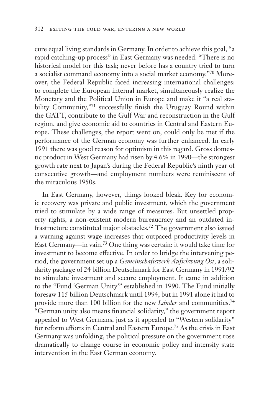cure equal living standards in Germany. In order to achieve this goal, "a rapid catching-up process" in East Germany was needed. "There is no historical model for this task; never before has a country tried to turn a socialist command economy into a social market economy."70 Moreover, the Federal Republic faced increasing international challenges: to complete the European internal market, simultaneously realize the Monetary and the Political Union in Europe and make it "a real stability Community,"71 successfully finish the Uruguay Round within the GATT, contribute to the Gulf War and reconstruction in the Gulf region, and give economic aid to countries in Central and Eastern Europe. These challenges, the report went on, could only be met if the performance of the German economy was further enhanced. In early 1991 there was good reason for optimism in this regard. Gross domestic product in West Germany had risen by 4.6% in 1990—the strongest growth rate next to Japan's during the Federal Republic's ninth year of consecutive growth—and employment numbers were reminiscent of the miraculous 1950s.

In East Germany, however, things looked bleak. Key for economic recovery was private and public investment, which the government tried to stimulate by a wide range of measures. But unsettled property rights, a non-existent modern bureaucracy and an outdated infrastructure constituted major obstacles.72 The government also issued a warning against wage increases that outpaced productivity levels in East Germany—in vain.73 One thing was certain: it would take time for investment to become effective. In order to bridge the intervening period, the government set up a *Gemeinschaftswerk Aufschwung Ost*, a solidarity package of 24 billion Deutschmark for East Germany in 1991/92 to stimulate investment and secure employment. It came in addition to the "Fund 'German Unity'" established in 1990. The Fund initially foresaw 115 billion Deutschmark until 1994, but in 1991 alone it had to provide more than 100 billion for the new *Länder* and communities.74 "German unity also means financial solidarity," the government report appealed to West Germans, just as it appealed to "Western solidarity" for reform efforts in Central and Eastern Europe.75 As the crisis in East Germany was unfolding, the political pressure on the government rose dramatically to change course in economic policy and intensify state intervention in the East German economy.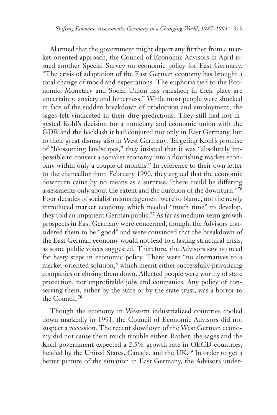Alarmed that the government might depart any further from a market-oriented approach, the Council of Economic Advisors in April issued another Special Survey on economic policy for East Germany. "The crisis of adaptation of the East German economy has brought a total change of mood and expectations. The euphoria tied to the Economic, Monetary and Social Union has vanished; in their place are uncertainty, anxiety and bitterness." While most people were shocked in face of the sudden breakdown of production and employment, the sages felt vindicated in their dire predictions. They still had not digested Kohl's decision for a monetary and economic union with the GDR and the backlash it had conjured not only in East Germany, but to their great dismay also in West Germany. Targeting Kohl's promise of "blossoming landscapes," they insisted that it was "absolutely impossible to convert a socialist economy into a flourishing market economy within only a couple of months." In reference to their own letter to the chancellor from February 1990, they argued that the economic downturn came by no means as a surprise, "there could be differing assessments only about the extent and the duration of the downturn."76 Four decades of socialist mismanagement were to blame, not the newly introduced market economy which needed "much time" to develop, they told an impatient German public.77 As far as medium-term growth prospects in East Germany were concerned, though, the Advisors considered them to be "good" and were convinced that the breakdown of the East German economy would not lead to a lasting structural crisis, as some public voices suggested. Therefore, the Advisors saw no need for hasty steps in economic policy. There were "no alternatives to a market-oriented solution," which meant either successfully privatizing companies or closing them down. Affected people were worthy of state protection, not unprofitable jobs and companies. Any policy of conserving them, either by the state or by the state trust, was a horror to the Council.78

Though the economy in Western industrialized countries cooled down markedly in 1991, the Council of Economic Advisors did not suspect a recession. The recent slowdown of the West German economy did not cause them much trouble either. Rather, the sages and the Kohl government expected a 2.5% growth rate in OECD countries, headed by the United States, Canada, and the UK.79 In order to get a better picture of the situation in East Germany, the Advisors under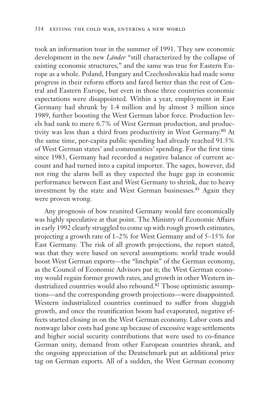took an information tour in the summer of 1991. They saw economic development in the new *Länder* "still characterized by the collapse of existing economic structures," and the same was true for Eastern Europe as a whole. Poland, Hungary and Czechoslovakia had made some progress in their reform efforts and fared better than the rest of Central and Eastern Europe, but even in those three countries economic expectations were disappointed. Within a year, employment in East Germany had shrunk by 1.4 million and by almost 3 million since 1989, further boosting the West German labor force. Production levels had sunk to mere 6.7% of West German production, and productivity was less than a third from productivity in West Germany.80 At the same time, per-capita public spending had already reached 91.5% of West German states' and communities' spending. For the first time since 1983, Germany had recorded a negative balance of current account and had turned into a capital importer. The sages, however, did not ring the alarm bell as they expected the huge gap in economic performance between East and West Germany to shrink, due to heavy investment by the state and West German businesses.<sup>81</sup> Again they were proven wrong.

 Any prognosis of how reunited Germany would fare economically was highly speculative at that point. The Ministry of Economic Affairs in early 1992 clearly struggled to come up with rough growth estimates, projecting a growth rate of 1–2% for West Germany and of 5–15% for East Germany. The risk of all growth projections, the report stated, was that they were based on several assumptions: world trade would boost West German exports—the "linchpin" of the German economy, as the Council of Economic Advisors put it; the West German economy would regain former growth rates, and growth in other Western industrialized countries would also rebound.82 Those optimistic assumptions—and the corresponding growth projections—were disappointed. Western industrialized countries continued to suffer from sluggish growth, and once the reunification boom had evaporated, negative effects started closing in on the West German economy. Labor costs and nonwage labor costs had gone up because of excessive wage settlements and higher social security contributions that were used to co-finance German unity, demand from other European countries shrank, and the ongoing appreciation of the Deutschmark put an additional price tag on German exports. All of a sudden, the West German economy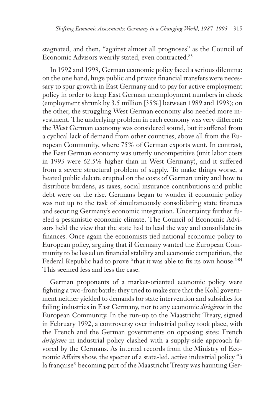stagnated, and then, "against almost all prognoses" as the Council of Economic Advisors wearily stated, even contracted.<sup>83</sup>

In 1992 and 1993, German economic policy faced a serious dilemma: on the one hand, huge public and private financial transfers were necessary to spur growth in East Germany and to pay for active employment policy in order to keep East German unemployment numbers in check (employment shrunk by 3.5 million [35%] between 1989 and 1993); on the other, the struggling West German economy also needed more investment. The underlying problem in each economy was very different: the West German economy was considered sound, but it suffered from a cyclical lack of demand from other countries, above all from the European Community, where 75% of German exports went. In contrast, the East German economy was utterly uncompetitive (unit labor costs in 1993 were 62.5% higher than in West Germany), and it suffered from a severe structural problem of supply. To make things worse, a heated public debate erupted on the costs of German unity and how to distribute burdens, as taxes, social insurance contributions and public debt were on the rise. Germans began to wonder if economic policy was not up to the task of simultaneously consolidating state finances and securing Germany's economic integration. Uncertainty further fueled a pessimistic economic climate. The Council of Economic Advisors held the view that the state had to lead the way and consolidate its finances. Once again the economists tied national economic policy to European policy, arguing that if Germany wanted the European Community to be based on financial stability and economic competition, the Federal Republic had to prove "that it was able to fix its own house."84 This seemed less and less the case.

German proponents of a market-oriented economic policy were fighting a two-front battle: they tried to make sure that the Kohl government neither yielded to demands for state intervention and subsidies for failing industries in East Germany, nor to any economic *dirigisme* in the European Community. In the run-up to the Maastricht Treaty, signed in February 1992, a controversy over industrial policy took place, with the French and the German governments on opposing sites: French *dirigisme* in industrial policy clashed with a supply-side approach favored by the Germans. As internal records from the Ministry of Economic Affairs show, the specter of a state-led, active industrial policy "à la française" becoming part of the Maastricht Treaty was haunting Ger-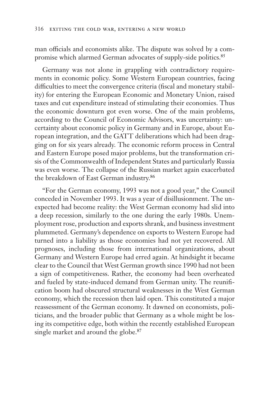man officials and economists alike. The dispute was solved by a compromise which alarmed German advocates of supply-side politics.<sup>85</sup>

Germany was not alone in grappling with contradictory requirements in economic policy. Some Western European countries, facing difficulties to meet the convergence criteria (fiscal and monetary stability) for entering the European Economic and Monetary Union, raised taxes and cut expenditure instead of stimulating their economies. Thus the economic downturn got even worse. One of the main problems, according to the Council of Economic Advisors, was uncertainty: uncertainty about economic policy in Germany and in Europe, about European integration, and the GATT deliberations which had been dragging on for six years already. The economic reform process in Central and Eastern Europe posed major problems, but the transformation crisis of the Commonwealth of Independent States and particularly Russia was even worse. The collapse of the Russian market again exacerbated the breakdown of East German industry.86

"For the German economy, 1993 was not a good year," the Council conceded in November 1993. It was a year of disillusionment. The unexpected had become reality: the West German economy had slid into a deep recession, similarly to the one during the early 1980s. Unemployment rose, production and exports shrank, and business investment plummeted. Germany's dependence on exports to Western Europe had turned into a liability as those economies had not yet recovered. All prognoses, including those from international organizations, about Germany and Western Europe had erred again. At hindsight it became clear to the Council that West German growth since 1990 had not been a sign of competitiveness. Rather, the economy had been overheated and fueled by state-induced demand from German unity. The reunification boom had obscured structural weaknesses in the West German economy, which the recession then laid open. This constituted a major reassessment of the German economy. It dawned on economists, politicians, and the broader public that Germany as a whole might be losing its competitive edge, both within the recently established European single market and around the globe.<sup>87</sup>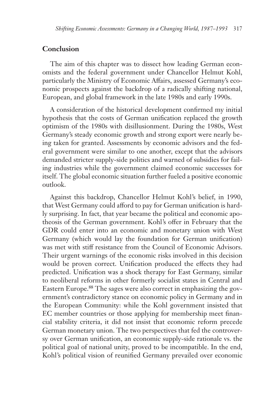#### **Conclusion**

The aim of this chapter was to dissect how leading German economists and the federal government under Chancellor Helmut Kohl, particularly the Ministry of Economic Affairs, assessed Germany's economic prospects against the backdrop of a radically shifting national, European, and global framework in the late 1980s and early 1990s.

A consideration of the historical development confirmed my initial hypothesis that the costs of German unification replaced the growth optimism of the 1980s with disillusionment. During the 1980s, West Germany's steady economic growth and strong export were nearly being taken for granted. Assessments by economic advisors and the federal government were similar to one another, except that the advisors demanded stricter supply-side politics and warned of subsidies for failing industries while the government claimed economic successes for itself. The global economic situation further fueled a positive economic outlook.

Against this backdrop, Chancellor Helmut Kohl's belief, in 1990, that West Germany could afford to pay for German unification is hardly surprising. In fact, that year became the political and economic apotheosis of the German government. Kohl's offer in February that the GDR could enter into an economic and monetary union with West Germany (which would lay the foundation for German unification) was met with stiff resistance from the Council of Economic Advisors. Their urgent warnings of the economic risks involved in this decision would be proven correct. Unification produced the effects they had predicted. Unification was a shock therapy for East Germany, similar to neoliberal reforms in other formerly socialist states in Central and Eastern Europe.88 The sages were also correct in emphasizing the government's contradictory stance on economic policy in Germany and in the European Community: while the Kohl government insisted that EC member countries or those applying for membership meet financial stability criteria, it did not insist that economic reform precede German monetary union. The two perspectives that fed the controversy over German unification, an economic supply-side rationale vs. the political goal of national unity, proved to be incompatible. In the end, Kohl's political vision of reunified Germany prevailed over economic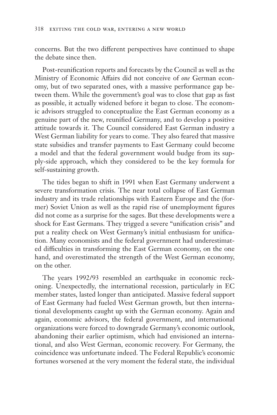concerns. But the two different perspectives have continued to shape the debate since then.

Post-reunification reports and forecasts by the Council as well as the Ministry of Economic Affairs did not conceive of *one* German economy, but of two separated ones, with a massive performance gap between them. While the government's goal was to close that gap as fast as possible, it actually widened before it began to close. The economic advisors struggled to conceptualize the East German economy as a genuine part of the new, reunified Germany, and to develop a positive attitude towards it. The Council considered East German industry a West German liability for years to come. They also feared that massive state subsidies and transfer payments to East Germany could become a model and that the federal government would budge from its supply-side approach, which they considered to be the key formula for self-sustaining growth.

The tides began to shift in 1991 when East Germany underwent a severe transformation crisis. The near total collapse of East German industry and its trade relationships with Eastern Europe and the (former) Soviet Union as well as the rapid rise of unemployment figures did not come as a surprise for the sages. But these developments were a shock for East Germans. They trigged a severe "unification crisis" and put a reality check on West Germany's initial enthusiasm for unification. Many economists and the federal government had underestimated difficulties in transforming the East German economy, on the one hand, and overestimated the strength of the West German economy, on the other.

The years 1992/93 resembled an earthquake in economic reckoning. Unexpectedly, the international recession, particularly in EC member states, lasted longer than anticipated. Massive federal support of East Germany had fueled West German growth, but then international developments caught up with the German economy. Again and again, economic advisors, the federal government, and international organizations were forced to downgrade Germany's economic outlook, abandoning their earlier optimism, which had envisioned an international, and also West German, economic recovery. For Germany, the coincidence was unfortunate indeed. The Federal Republic's economic fortunes worsened at the very moment the federal state, the individual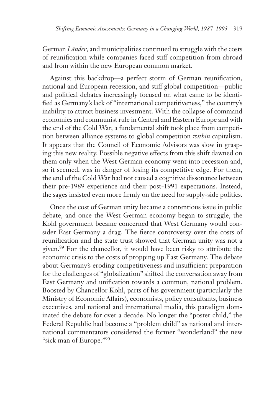German *Länder*, and municipalities continued to struggle with the costs of reunification while companies faced stiff competition from abroad and from within the new European common market.

Against this backdrop—a perfect storm of German reunification, national and European recession, and stiff global competition—public and political debates increasingly focused on what came to be identified as Germany's lack of "international competitiveness," the country's inability to attract business investment. With the collapse of command economies and communist rule in Central and Eastern Europe and with the end of the Cold War, a fundamental shift took place from competition between alliance systems to global competition *within* capitalism. It appears that the Council of Economic Advisors was slow in grasping this new reality. Possible negative effects from this shift dawned on them only when the West German economy went into recession and, so it seemed, was in danger of losing its competitive edge. For them, the end of the Cold War had not caused a cognitive dissonance between their pre-1989 experience and their post-1991 expectations. Instead, the sages insisted even more firmly on the need for supply-side politics.

Once the cost of German unity became a contentious issue in public debate, and once the West German economy began to struggle, the Kohl government became concerned that West Germany would consider East Germany a drag. The fierce controversy over the costs of reunification and the state trust showed that German unity was not a given.89 For the chancellor, it would have been risky to attribute the economic crisis to the costs of propping up East Germany. The debate about Germany's eroding competitiveness and insufficient preparation for the challenges of "globalization" shifted the conversation away from East Germany and unification towards a common, national problem. Boosted by Chancellor Kohl, parts of his government (particularly the Ministry of Economic Affairs), economists, policy consultants, business executives, and national and international media, this paradigm dominated the debate for over a decade. No longer the "poster child," the Federal Republic had become a "problem child" as national and international commentators considered the former "wonderland" the new "sick man of Europe."90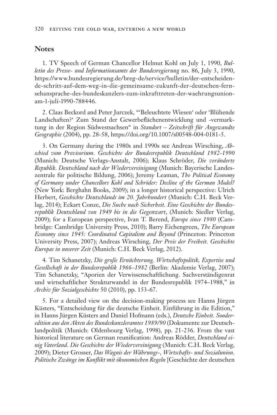#### **Notes**

1. TV Speech of German Chancellor Helmut Kohl on July 1, 1990, *Bulletin des Presse- und Informationsamts der Bundesregierung* no. 86, July 3, 1990, https://www.bundesregierung.de/breg-de/service/bulletin/der-entscheidende-schritt-auf-dem-weg-in-die-gemeinsame-zukunft-der-deutschen-fernsehansprache-des-bundeskanzlers-zum-inkrafttreten-der-waehrungsunionam-1-juli-1990-788446.

2. Claas Beckord and Peter Jurczek, "'Beleuchtete Wiesen' oder 'Blühende Landschaften?' Zum Stand der Gewerbeflächenentwicklung und -vermarktung in der Region Südwestsachsen" in *Standort – Zeitschrift für Angewandte Geographie* (2004), pp. 28-58, https://doi.org/10.1007/s00548-004-0181-5.

3. On Germany during the 1980s and 1990s see Andreas Wirsching, *Abschied vom Provisorium. Geschichte der Bundesrepublik Deutschland 1982-1990* (Munich: Deutsche Verlags-Anstalt, 2006); Klaus Schröder, *Die veränderte Republik. Deutschland nach der Wiedervereinigun*g (Munich: Bayerische Landeszentrale für politische Bildung, 2006); Jeremy Leaman, *The Political Economy of Germany under Chancellors Kohl and Schröder: Decline of the German Model?* (New York: Berghahn Books, 2009); in a longer historical perspective: Ulrich Herbert, *Geschichte Deutschlands im 20. Jahrhundert* (Munich: C.H. Beck Verlag, 2014); Eckart Conze, *Die Suche nach Sicherheit. Eine Geschichte der Bundesrepublik Deutschland von 1949 bis in die Gegenwart*, (Munich: Siedler Verlag, 2009); for a European perspective, Ivan T. Berend, *Europe since 1980* (Cambridge: Cambridge University Press, 2010); Barry Eichengreen, *The European Economy since 1945: Coordinated Capitalism and Beyond* (Princeton: Princeton University Press, 2007); Andreas Wirsching, *Der Preis der Freiheit. Geschichte Europas in unserer Zeit* (Munich: C.H. Beck Verlag, 2012).

4. Tim Schanetzky, *Die große Ernüchterung. Wirtschaftspolitik, Expertise und Gesellschaft in der Bundesrepublik 1966–1982* (Berlin: Akademie Verlag, 2007); Tim Schanetzky, "Aporien der Verwissenschaftlichung. Sachverständigenrat und wirtschaftlicher Strukturwandel in der Bundesrepublik 1974–1988," in *Archiv für Sozialgeschichte* 50 (2010), pp. 153-67.

5. For a detailed view on the decision-making process see Hanns Jürgen Küsters, "Entscheidung für die deutsche Einheit. Einführung in die Edition," in Hanns Jürgen Küsters and Daniel Hofmann (eds.), *Deutsche Einheit. Sonderedition aus den Akten des Bundeskanzleramtes 1989/90* (Dokumente zur Deutschlandpolitik (Munich: Oldenbourg Verlag, 1998), pp. 21-236. From the vast historical literature on German reunification: Andreas Rödder, *Deutschland einig Vaterland. Die Geschichte der Wiedervereinigung* (Munich: C.H. Beck Verlag, 2009); Dieter Grosser, *Das Wagnis der Währungs-, Wirtschafts- und Sozialunion. Politische Zwänge im Konflikt mit ökonomischen Regeln* [Geschichte der deutschen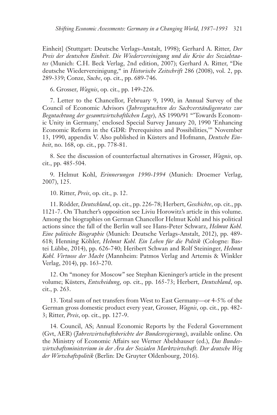Einheit] (Stuttgart: Deutsche Verlags-Anstalt, 1998); Gerhard A. Ritter, *Der Preis der deutschen Einheit. Die Wiedervereinigung und die Krise des Sozialstaates* (Munich: C.H. Beck Verlag, 2nd edition, 2007); Gerhard A. Ritter, "Die deutsche Wiedervereinigung," in *Historische Zeitschrift* 286 (2008), vol. 2, pp. 289-339; Conze, *Suche*, op. cit., pp. 689-746.

6. Grosser, *Wagnis*, op. cit., pp. 149-226.

7. Letter to the Chancellor, February 9, 1990, in Annual Survey of the Council of Economic Advisors (*Jahresgutachten des Sachverständigenrates zur Begutachtung der gesamtwirtschaftlichen Lage*), AS 1990/91 "'Towards Economic Unity in Germany,' enclosed Special Survey January 20, 1990 'Enhancing Economic Reform in the GDR: Prerequisites and Possibilities,'" November 13, 1990, appendix V. Also published in Küsters and Hofmann, *Deutsche Einheit*, no. 168, op. cit., pp. 778-81.

8. See the discussion of counterfactual alternatives in Grosser, *Wagnis*, op. cit., pp. 485-504.

9. Helmut Kohl, *Erinnerungen 1990-1994* (Munich: Droemer Verlag, 2007), 125.

10. Ritter, *Preis*, op. cit., p. 12.

11. Rödder, *Deutschland*, op. cit., pp. 226-78; Herbert, *Geschichte*, op. cit., pp. 1121-7. On Thatcher's opposition see Liviu Horowitz's article in this volume. Among the biographies on German Chancellor Helmut Kohl and his political actions since the fall of the Berlin wall see Hans-Peter Schwarz, *Helmut Kohl. Eine politische Biographie* (Munich: Deutsche Verlags-Anstalt, 2012), pp. 489- 618; Henning Köhler, *Helmut Kohl. Ein Leben für die Politik* (Cologne: Bastei Lübbe, 2014), pp. 626-740; Heribert Schwan and Rolf Steininger, *Helmut Kohl. Virtuose der Macht* (Mannheim: Patmos Verlag and Artemis & Winkler Verlag, 2014), pp. 163-270.

12. On "money for Moscow" see Stephan Kieninger's article in the present volume; Küsters, *Entscheidung*, op. cit., pp. 165-73; Herbert, *Deutschland*, op. cit., p. 263.

13. Total sum of net transfers from West to East Germany—or 4-5% of the German gross domestic product every year, Grosser, *Wagnis*, op. cit., pp. 482- 3; Ritter, *Preis*, op. cit., pp. 127-9.

14. Council, AS; Annual Economic Reports by the Federal Government (Gvt, AER) (*Jahreswirtschaftsberichte der Bundesregierung*), available online. On the Ministry of Economic Affairs see Werner Abelshauser (ed.), *Das Bundeswirtschaftsministerium in der Ära der Sozialen Marktwirtschaft. Der deutsche Weg der Wirtschaftspolitik* (Berlin: De Gruyter Oldenbourg, 2016).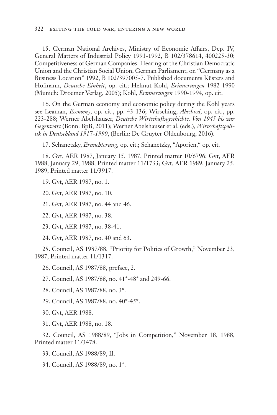15. German National Archives, Ministry of Economic Affairs, Dep. IV, General Matters of Industrial Policy 1991-1992, B 102/378614, 400225-30; Competitiveness of German Companies. Hearing of the Christian Democratic Union and the Christian Social Union, German Parliament, on "Germany as a Business Location" 1992, B 102/397005-7. Published documents Küsters and Hofmann, *Deutsche Einheit*, op. cit.; Helmut Kohl, *Erinnerungen* 1982-1990 (Munich: Droemer Verlag, 2005); Kohl, *Erinnerungen* 1990-1994, op. cit.

16. On the German economy and economic policy during the Kohl years see Leaman, *Economy*, op. cit., pp. 43-136; Wirsching, *Abschied*, op. cit., pp. 223-288; Werner Abelshauser, *Deutsche Wirtschaftsgeschichte. Von 1945 bis zur Gegenwart* (Bonn: BpB, 2011); Werner Abelshauser et al. (eds.), *Wirtschaftspolitik in Deutschland 1917-1990*, (Berlin: De Gruyter Oldenbourg, 2016).

17. Schanetzky, *Ernüchterung*, op. cit.; Schanetzky, "Aporien," op. cit.

18. Gvt, AER 1987, January 15, 1987, Printed matter 10/6796; Gvt, AER 1988, January 29, 1988, Printed matter 11/1733; Gvt, AER 1989, January 25, 1989, Printed matter 11/3917.

19. Gvt, AER 1987, no. 1.

20. Gvt, AER 1987, no. 10.

21. Gvt, AER 1987, no. 44 and 46.

22. Gvt, AER 1987, no. 38.

23. Gvt, AER 1987, no. 38-41.

24. Gvt, AER 1987, no. 40 and 63.

25. Council, AS 1987/88, "Priority for Politics of Growth," November 23, 1987, Printed matter 11/1317.

26. Council, AS 1987/88, preface, 2.

27. Council, AS 1987/88, no. 41\*-48\* and 249-66.

28. Council, AS 1987/88, no. 3\*.

29. Council, AS 1987/88, no. 40\*-45\*.

30. Gvt, AER 1988.

31. Gvt, AER 1988, no. 18.

32. Council, AS 1988/89, "Jobs in Competition," November 18, 1988, Printed matter 11/3478.

33. Council, AS 1988/89, II.

34. Council, AS 1988/89, no. 1\*.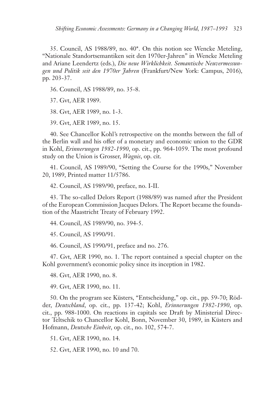35. Council, AS 1988/89, no. 40\*. On this notion see Wencke Meteling, "Nationale Standortsemantiken seit den 1970er-Jahren" in Wencke Meteling and Ariane Leendertz (eds.), *Die neue Wirklichkeit. Semantische Neuvermessungen und Politik seit den 1970er Jahren* (Frankfurt/New York: Campus, 2016), pp. 203-37.

36. Council, AS 1988/89, no. 35-8.

37. Gvt, AER 1989.

38. Gvt, AER 1989, no. 1-3.

39. Gvt, AER 1989, no. 15.

40. See Chancellor Kohl's retrospective on the months between the fall of the Berlin wall and his offer of a monetary and economic union to the GDR in Kohl, *Erinnerungen 1982-1990*, op. cit., pp. 964-1059. The most profound study on the Union is Grosser, *Wagnis*, op. cit.

41. Council, AS 1989/90, "Setting the Course for the 1990s," November 20, 1989, Printed matter 11/5786.

42. Council, AS 1989/90, preface, no. I-II.

43. The so-called Delors Report (1988/89) was named after the President of the European Commission Jacques Delors. The Report became the foundation of the Maastricht Treaty of February 1992.

44. Council, AS 1989/90, no. 394-5.

45. Council, AS 1990/91.

46. Council, AS 1990/91, preface and no. 276.

47. Gvt, AER 1990, no. 1. The report contained a special chapter on the Kohl government's economic policy since its inception in 1982.

48. Gvt, AER 1990, no. 8.

49. Gvt, AER 1990, no. 11.

50. On the program see Küsters, "Entscheidung," op. cit., pp. 59-70; Rödder, *Deutschland*, op. cit., pp. 137-42; Kohl, *Erinnerungen 1982-1990*, op. cit., pp. 988-1000. On reactions in capitals see Draft by Ministerial Director Teltschik to Chancellor Kohl, Bonn, November 30, 1989, in Küsters and Hofmann, *Deutsche Einheit*, op. cit., no. 102, 574-7.

51. Gvt, AER 1990, no. 14.

52. Gvt, AER 1990, no. 10 and 70.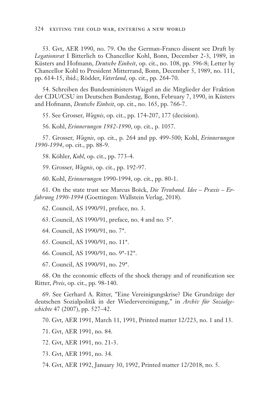53. Gvt, AER 1990, no. 79. On the German-Franco dissent see Draft by *Legationsrat* I Bitterlich to Chancellor Kohl, Bonn, December 2-3, 1989, in Küsters and Hofmann, *Deutsche Einheit*, op. cit., no. 108, pp. 596-8; Letter by Chancellor Kohl to President Mitterrand, Bonn, December 5, 1989, no. 111, pp. 614-15, ibid.; Rödder, *Vaterland*, op. cit., pp. 264-70.

54. Schreiben des Bundesministers Waigel an die Mitglieder der Fraktion der CDU/CSU im Deutschen Bundestag, Bonn, February 7, 1990, in Küsters and Hofmann, *Deutsche Einheit*, op. cit., no. 165, pp. 766-7.

55. See Grosser, *Wagnis*, op. cit., pp. 174-207, 177 (decision).

56. Kohl, *Erinnerungen 1982-1990*, op. cit., p. 1057.

57. Grosser, *Wagnis*, op. cit., p. 264 and pp. 499-500; Kohl, *Erinnerungen 1990-1994*, op. cit., pp. 88-9.

58. Köhler, *Kohl*, op. cit., pp. 773-4.

59. Grosser, *Wagnis*, op. cit., pp. 192-97.

60. Kohl, *Erinnerungen* 1990-1994, op. cit., pp. 80-1.

61. On the state trust see Marcus Boïck, *Die Treuhand. Idee – Praxis – Erfahrung 1990-1994* (Goettingen: Wallstein Verlag, 2018).

62. Council, AS 1990/91, preface, no. 3.

63. Council, AS 1990/91, preface, no. 4 and no. 5\*.

64. Council, AS 1990/91, no. 7\*.

65. Council, AS 1990/91, no. 11\*.

66. Council, AS 1990/91, no. 9\*-12\*.

67. Council, AS 1990/91, no. 29\*.

68. On the economic effects of the shock therapy and of reunification see Ritter, *Preis*, op. cit., pp. 98-140.

69. See Gerhard A. Ritter, "Eine Vereinigungskrise? Die Grundzüge der deutschen Sozialpolitik in der Wiedervereinigung," in *Archiv für Sozialgeschichte* 47 (2007), pp. 527–42.

70. Gvt, AER 1991, March 11, 1991, Printed matter 12/223, no. 1 and 13.

71. Gvt, AER 1991, no. 84.

72. Gvt, AER 1991, no. 21-3.

73. Gvt, AER 1991, no. 34.

74. Gvt, AER 1992, January 30, 1992, Printed matter 12/2018, no. 5.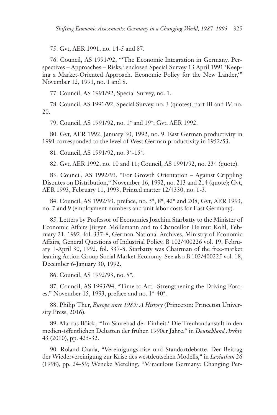75. Gvt, AER 1991, no. 14-5 and 87.

76. Council, AS 1991/92, "'The Economic Integration in Germany. Perspectives – Approaches – Risks,' enclosed Special Survey 13 April 1991 'Keeping a Market-Oriented Approach. Economic Policy for the New Länder,'" November 12, 1991, no. 1 and 8.

77. Council, AS 1991/92, Special Survey, no. 1.

78. Council, AS 1991/92, Special Survey, no. 3 (quotes), part III and IV, no. 20.

79. Council, AS 1991/92, no. 1\* and 19\*; Gvt, AER 1992.

80. Gvt, AER 1992, January 30, 1992, no. 9. East German productivity in 1991 corresponded to the level of West German productivity in 1952/53.

81. Council, AS 1991/92, no. 3\*-15\*.

82. Gvt, AER 1992, no. 10 and 11; Council, AS 1991/92, no. 234 (quote).

83. Council, AS 1992/93, "For Growth Orientation – Against Crippling Disputes on Distribution," November 16, 1992, no. 213 and 214 (quote); Gvt, AER 1993, February 11, 1993, Printed matter 12/4330, no. 1-3.

84. Council, AS 1992/93, preface, no. 5\*, 8\*, 42\* and 208; Gvt, AER 1993, no. 7 and 9 (employment numbers and unit labor costs for East Germany).

85. Letters by Professor of Economics Joachim Starbatty to the Minister of Economic Affairs Jürgen Möllemann and to Chancellor Helmut Kohl, February 21, 1992, fol. 337-8, German National Archives, Ministry of Economic Affairs, General Questions of Industrial Policy, B 102/400226 vol. 19, February 1-April 30, 1992, fol. 337-8. Starbatty was Chairman of the free-market leaning Action Group Social Market Economy. See also B 102/400225 vol. 18, December 6-January 30, 1992.

86. Council, AS 1992/93, no. 5\*.

87. Council, AS 1993/94, "Time to Act –Strengthening the Driving Forces," November 15, 1993, preface and no. 1\*-40\*.

88. Philip Ther, *Europe since 1989: A History* (Princeton: Princeton University Press, 2016).

89. Marcus Böick, "'Im Säurebad der Einheit.' Die Treuhandanstalt in den medien-öffentlichen Debatten der frühen 1990er Jahre," in *Deutschland Archiv*  43 (2010), pp. 425-32.

90. Roland Czada, "Vereinigungskrise und Standortdebatte. Der Beitrag der Wiedervereinigung zur Krise des westdeutschen Modells," in *Leviathan* 26 (1998), pp. 24-59; Wencke Meteling, "Miraculous Germany: Changing Per